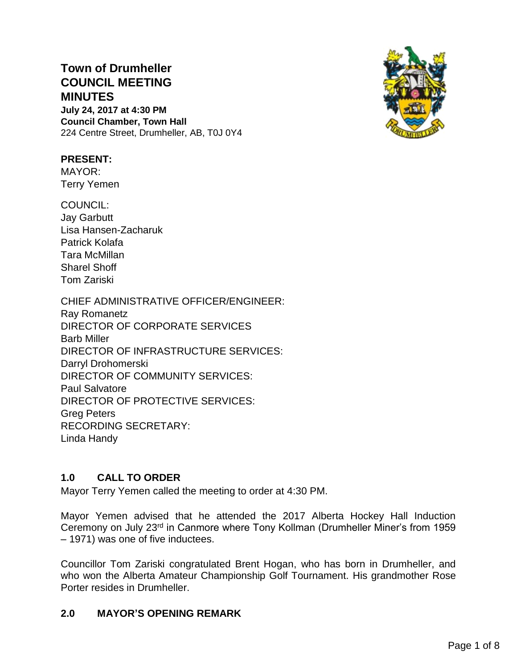# **Town of Drumheller COUNCIL MEETING MINUTES July 24, 2017 at 4:30 PM**

**Council Chamber, Town Hall** 224 Centre Street, Drumheller, AB, T0J 0Y4



# **PRESENT:**

MAYOR: Terry Yemen

COUNCIL: Jay Garbutt Lisa Hansen-Zacharuk Patrick Kolafa Tara McMillan Sharel Shoff Tom Zariski

CHIEF ADMINISTRATIVE OFFICER/ENGINEER: Ray Romanetz DIRECTOR OF CORPORATE SERVICES Barb Miller DIRECTOR OF INFRASTRUCTURE SERVICES: Darryl Drohomerski DIRECTOR OF COMMUNITY SERVICES: Paul Salvatore DIRECTOR OF PROTECTIVE SERVICES: Greg Peters RECORDING SECRETARY: Linda Handy

# **1.0 CALL TO ORDER**

Mayor Terry Yemen called the meeting to order at 4:30 PM.

Mayor Yemen advised that he attended the 2017 Alberta Hockey Hall Induction Ceremony on July 23rd in Canmore where Tony Kollman (Drumheller Miner's from 1959 – 1971) was one of five inductees.

Councillor Tom Zariski congratulated Brent Hogan, who has born in Drumheller, and who won the Alberta Amateur Championship Golf Tournament. His grandmother Rose Porter resides in Drumheller.

# **2.0 MAYOR'S OPENING REMARK**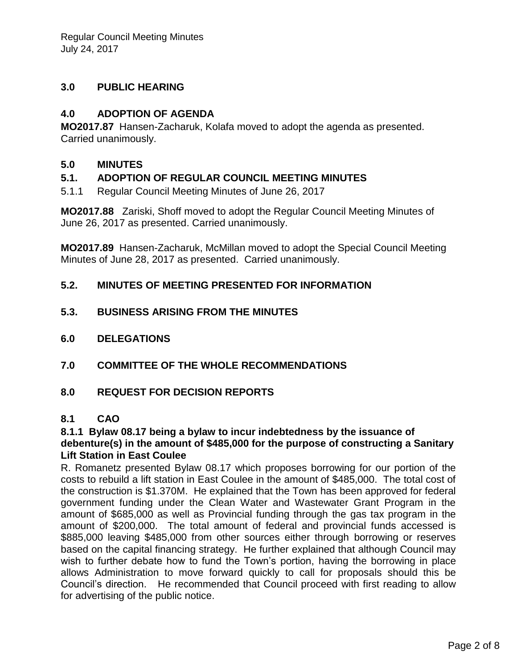# **3.0 PUBLIC HEARING**

# **4.0 ADOPTION OF AGENDA**

**MO2017.87** Hansen-Zacharuk, Kolafa moved to adopt the agenda as presented. Carried unanimously.

# **5.0 MINUTES**

# **5.1. ADOPTION OF REGULAR COUNCIL MEETING MINUTES**

5.1.1 Regular Council Meeting Minutes of June 26, 2017

**MO2017.88** Zariski, Shoff moved to adopt the Regular Council Meeting Minutes of June 26, 2017 as presented. Carried unanimously.

**MO2017.89** Hansen-Zacharuk, McMillan moved to adopt the Special Council Meeting Minutes of June 28, 2017 as presented. Carried unanimously.

# **5.2. MINUTES OF MEETING PRESENTED FOR INFORMATION**

- **5.3. BUSINESS ARISING FROM THE MINUTES**
- **6.0 DELEGATIONS**
- **7.0 COMMITTEE OF THE WHOLE RECOMMENDATIONS**
- **8.0 REQUEST FOR DECISION REPORTS**

### **8.1 CAO**

#### **8.1.1 Bylaw 08.17 being a bylaw to incur indebtedness by the issuance of debenture(s) in the amount of \$485,000 for the purpose of constructing a Sanitary Lift Station in East Coulee**

R. Romanetz presented Bylaw 08.17 which proposes borrowing for our portion of the costs to rebuild a lift station in East Coulee in the amount of \$485,000. The total cost of the construction is \$1.370M. He explained that the Town has been approved for federal government funding under the Clean Water and Wastewater Grant Program in the amount of \$685,000 as well as Provincial funding through the gas tax program in the amount of \$200,000. The total amount of federal and provincial funds accessed is \$885,000 leaving \$485,000 from other sources either through borrowing or reserves based on the capital financing strategy. He further explained that although Council may wish to further debate how to fund the Town's portion, having the borrowing in place allows Administration to move forward quickly to call for proposals should this be Council's direction. He recommended that Council proceed with first reading to allow for advertising of the public notice.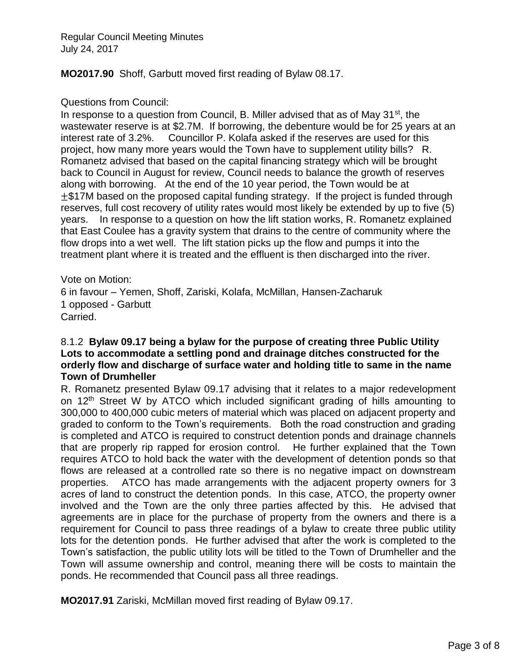**MO2017.90** Shoff, Garbutt moved first reading of Bylaw 08.17.

#### Questions from Council:

In response to a question from Council, B. Miller advised that as of May 31<sup>st</sup>, the wastewater reserve is at \$2.7M. If borrowing, the debenture would be for 25 years at an interest rate of 3.2%. Councillor P. Kolafa asked if the reserves are used for this project, how many more years would the Town have to supplement utility bills? R. Romanetz advised that based on the capital financing strategy which will be brought back to Council in August for review, Council needs to balance the growth of reserves along with borrowing. At the end of the 10 year period, the Town would be at  $±$ \$17M based on the proposed capital funding strategy. If the project is funded through reserves, full cost recovery of utility rates would most likely be extended by up to five (5) years. In response to a question on how the lift station works, R. Romanetz explained that East Coulee has a gravity system that drains to the centre of community where the flow drops into a wet well. The lift station picks up the flow and pumps it into the treatment plant where it is treated and the effluent is then discharged into the river.

Vote on Motion:

6 in favour – Yemen, Shoff, Zariski, Kolafa, McMillan, Hansen-Zacharuk 1 opposed - Garbutt Carried.

#### 8.1.2 **Bylaw 09.17 being a bylaw for the purpose of creating three Public Utility Lots to accommodate a settling pond and drainage ditches constructed for the orderly flow and discharge of surface water and holding title to same in the name Town of Drumheller**

R. Romanetz presented Bylaw 09.17 advising that it relates to a major redevelopment on 12<sup>th</sup> Street W by ATCO which included significant grading of hills amounting to 300,000 to 400,000 cubic meters of material which was placed on adjacent property and graded to conform to the Town's requirements. Both the road construction and grading is completed and ATCO is required to construct detention ponds and drainage channels that are properly rip rapped for erosion control. He further explained that the Town requires ATCO to hold back the water with the development of detention ponds so that flows are released at a controlled rate so there is no negative impact on downstream properties. ATCO has made arrangements with the adjacent property owners for 3 acres of land to construct the detention ponds. In this case, ATCO, the property owner involved and the Town are the only three parties affected by this. He advised that agreements are in place for the purchase of property from the owners and there is a requirement for Council to pass three readings of a bylaw to create three public utility lots for the detention ponds. He further advised that after the work is completed to the Town's satisfaction, the public utility lots will be titled to the Town of Drumheller and the Town will assume ownership and control, meaning there will be costs to maintain the ponds. He recommended that Council pass all three readings.

**MO2017.91** Zariski, McMillan moved first reading of Bylaw 09.17.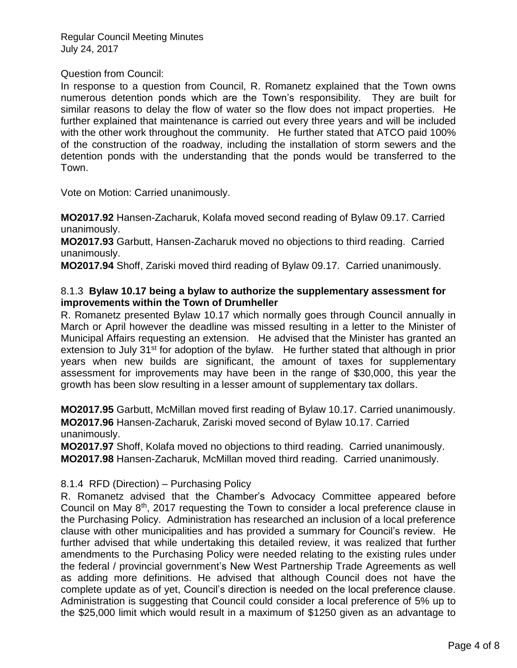#### Question from Council:

In response to a question from Council, R. Romanetz explained that the Town owns numerous detention ponds which are the Town's responsibility. They are built for similar reasons to delay the flow of water so the flow does not impact properties. He further explained that maintenance is carried out every three years and will be included with the other work throughout the community. He further stated that ATCO paid 100% of the construction of the roadway, including the installation of storm sewers and the detention ponds with the understanding that the ponds would be transferred to the Town.

Vote on Motion: Carried unanimously.

**MO2017.92** Hansen-Zacharuk, Kolafa moved second reading of Bylaw 09.17. Carried unanimously.

**MO2017.93** Garbutt, Hansen-Zacharuk moved no objections to third reading. Carried unanimously.

**MO2017.94** Shoff, Zariski moved third reading of Bylaw 09.17. Carried unanimously.

#### 8.1.3 **Bylaw 10.17 being a bylaw to authorize the supplementary assessment for improvements within the Town of Drumheller**

R. Romanetz presented Bylaw 10.17 which normally goes through Council annually in March or April however the deadline was missed resulting in a letter to the Minister of Municipal Affairs requesting an extension. He advised that the Minister has granted an extension to July 31<sup>st</sup> for adoption of the bylaw. He further stated that although in prior years when new builds are significant, the amount of taxes for supplementary assessment for improvements may have been in the range of \$30,000, this year the growth has been slow resulting in a lesser amount of supplementary tax dollars.

**MO2017.95** Garbutt, McMillan moved first reading of Bylaw 10.17. Carried unanimously. **MO2017.96** Hansen-Zacharuk, Zariski moved second of Bylaw 10.17. Carried unanimously.

**MO2017.97** Shoff, Kolafa moved no objections to third reading. Carried unanimously. **MO2017.98** Hansen-Zacharuk, McMillan moved third reading. Carried unanimously.

#### 8.1.4 RFD (Direction) – Purchasing Policy

R. Romanetz advised that the Chamber's Advocacy Committee appeared before Council on May  $8<sup>th</sup>$ , 2017 requesting the Town to consider a local preference clause in the Purchasing Policy. Administration has researched an inclusion of a local preference clause with other municipalities and has provided a summary for Council's review. He further advised that while undertaking this detailed review, it was realized that further amendments to the Purchasing Policy were needed relating to the existing rules under the federal / provincial government's New West Partnership Trade Agreements as well as adding more definitions. He advised that although Council does not have the complete update as of yet, Council's direction is needed on the local preference clause. Administration is suggesting that Council could consider a local preference of 5% up to the \$25,000 limit which would result in a maximum of \$1250 given as an advantage to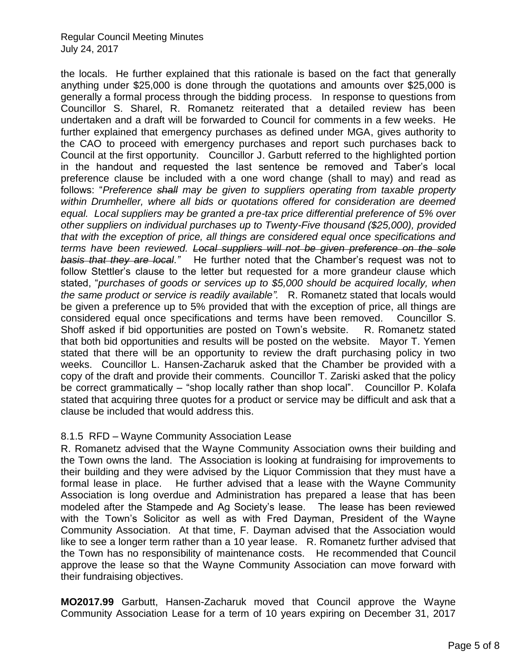the locals. He further explained that this rationale is based on the fact that generally anything under \$25,000 is done through the quotations and amounts over \$25,000 is generally a formal process through the bidding process. In response to questions from Councillor S. Sharel, R. Romanetz reiterated that a detailed review has been undertaken and a draft will be forwarded to Council for comments in a few weeks. He further explained that emergency purchases as defined under MGA, gives authority to the CAO to proceed with emergency purchases and report such purchases back to Council at the first opportunity. Councillor J. Garbutt referred to the highlighted portion in the handout and requested the last sentence be removed and Taber's local preference clause be included with a one word change (shall to may) and read as follows: "*Preference shall may be given to suppliers operating from taxable property within Drumheller, where all bids or quotations offered for consideration are deemed equal. Local suppliers may be granted a pre-tax price differential preference of 5% over other suppliers on individual purchases up to Twenty-Five thousand (\$25,000), provided that with the exception of price, all things are considered equal once specifications and terms have been reviewed. Local suppliers will not be given preference on the sole basis that they are local."* He further noted that the Chamber's request was not to follow Stettler's clause to the letter but requested for a more grandeur clause which stated, "*purchases of goods or services up to \$5,000 should be acquired locally, when the same product or service is readily available".* R. Romanetz stated that locals would be given a preference up to 5% provided that with the exception of price, all things are considered equal once specifications and terms have been removed. Councillor S. Shoff asked if bid opportunities are posted on Town's website. R. Romanetz stated that both bid opportunities and results will be posted on the website. Mayor T. Yemen stated that there will be an opportunity to review the draft purchasing policy in two weeks. Councillor L. Hansen-Zacharuk asked that the Chamber be provided with a copy of the draft and provide their comments. Councillor T. Zariski asked that the policy be correct grammatically – "shop locally rather than shop local". Councillor P. Kolafa stated that acquiring three quotes for a product or service may be difficult and ask that a clause be included that would address this.

#### 8.1.5 RFD – Wayne Community Association Lease

R. Romanetz advised that the Wayne Community Association owns their building and the Town owns the land. The Association is looking at fundraising for improvements to their building and they were advised by the Liquor Commission that they must have a formal lease in place. He further advised that a lease with the Wayne Community Association is long overdue and Administration has prepared a lease that has been modeled after the Stampede and Ag Society's lease. The lease has been reviewed with the Town's Solicitor as well as with Fred Dayman, President of the Wayne Community Association. At that time, F. Dayman advised that the Association would like to see a longer term rather than a 10 year lease. R. Romanetz further advised that the Town has no responsibility of maintenance costs. He recommended that Council approve the lease so that the Wayne Community Association can move forward with their fundraising objectives.

**MO2017.99** Garbutt, Hansen-Zacharuk moved that Council approve the Wayne Community Association Lease for a term of 10 years expiring on December 31, 2017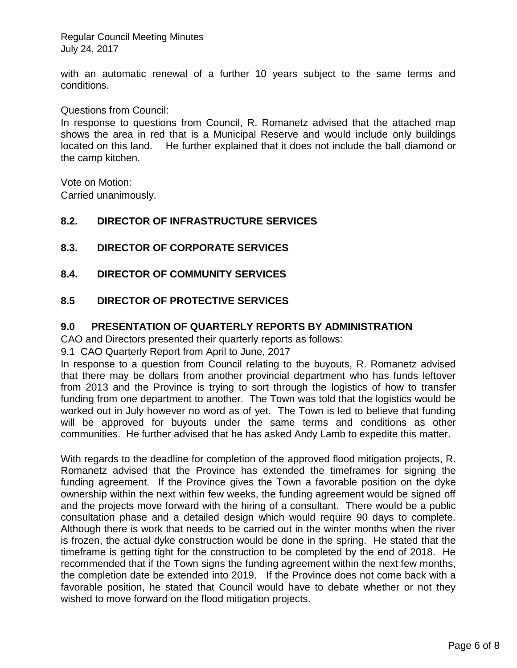with an automatic renewal of a further 10 years subject to the same terms and conditions.

Questions from Council:

In response to questions from Council, R. Romanetz advised that the attached map shows the area in red that is a Municipal Reserve and would include only buildings located on this land. He further explained that it does not include the ball diamond or the camp kitchen.

Vote on Motion: Carried unanimously.

#### **8.2. DIRECTOR OF INFRASTRUCTURE SERVICES**

# **8.3. DIRECTOR OF CORPORATE SERVICES**

# **8.4. DIRECTOR OF COMMUNITY SERVICES**

# **8.5 DIRECTOR OF PROTECTIVE SERVICES**

#### **9.0 PRESENTATION OF QUARTERLY REPORTS BY ADMINISTRATION**

CAO and Directors presented their quarterly reports as follows:

9.1 CAO Quarterly Report from April to June, 2017

In response to a question from Council relating to the buyouts, R. Romanetz advised that there may be dollars from another provincial department who has funds leftover from 2013 and the Province is trying to sort through the logistics of how to transfer funding from one department to another. The Town was told that the logistics would be worked out in July however no word as of yet. The Town is led to believe that funding will be approved for buyouts under the same terms and conditions as other communities. He further advised that he has asked Andy Lamb to expedite this matter.

With regards to the deadline for completion of the approved flood mitigation projects, R. Romanetz advised that the Province has extended the timeframes for signing the funding agreement. If the Province gives the Town a favorable position on the dyke ownership within the next within few weeks, the funding agreement would be signed off and the projects move forward with the hiring of a consultant. There would be a public consultation phase and a detailed design which would require 90 days to complete. Although there is work that needs to be carried out in the winter months when the river is frozen, the actual dyke construction would be done in the spring. He stated that the timeframe is getting tight for the construction to be completed by the end of 2018. He recommended that if the Town signs the funding agreement within the next few months, the completion date be extended into 2019. If the Province does not come back with a favorable position, he stated that Council would have to debate whether or not they wished to move forward on the flood mitigation projects.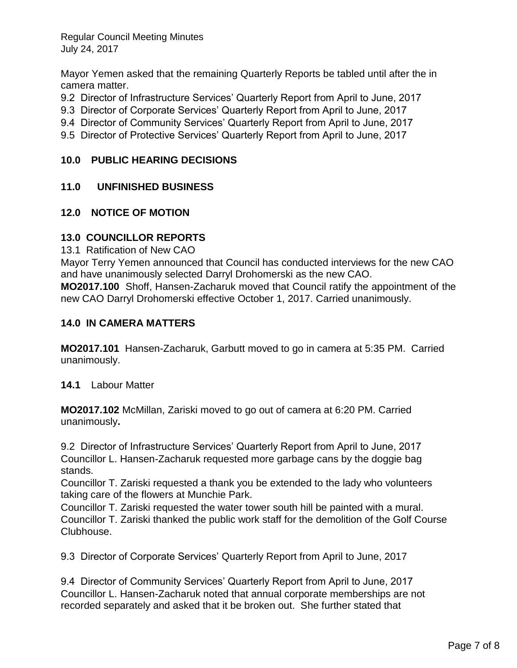Mayor Yemen asked that the remaining Quarterly Reports be tabled until after the in camera matter.

- 9.2 Director of Infrastructure Services' Quarterly Report from April to June, 2017
- 9.3 Director of Corporate Services' Quarterly Report from April to June, 2017
- 9.4 Director of Community Services' Quarterly Report from April to June, 2017
- 9.5 Director of Protective Services' Quarterly Report from April to June, 2017

# **10.0 PUBLIC HEARING DECISIONS**

# **11.0 UNFINISHED BUSINESS**

#### **12.0 NOTICE OF MOTION**

#### **13.0 COUNCILLOR REPORTS**

13.1 Ratification of New CAO

Mayor Terry Yemen announced that Council has conducted interviews for the new CAO and have unanimously selected Darryl Drohomerski as the new CAO.

**MO2017.100** Shoff, Hansen-Zacharuk moved that Council ratify the appointment of the new CAO Darryl Drohomerski effective October 1, 2017. Carried unanimously.

#### **14.0 IN CAMERA MATTERS**

**MO2017.101** Hansen-Zacharuk, Garbutt moved to go in camera at 5:35 PM. Carried unanimously.

**14.1** Labour Matter

**MO2017.102** McMillan, Zariski moved to go out of camera at 6:20 PM. Carried unanimously**.**

9.2 Director of Infrastructure Services' Quarterly Report from April to June, 2017 Councillor L. Hansen-Zacharuk requested more garbage cans by the doggie bag stands.

Councillor T. Zariski requested a thank you be extended to the lady who volunteers taking care of the flowers at Munchie Park.

Councillor T. Zariski requested the water tower south hill be painted with a mural. Councillor T. Zariski thanked the public work staff for the demolition of the Golf Course Clubhouse.

9.3 Director of Corporate Services' Quarterly Report from April to June, 2017

9.4 Director of Community Services' Quarterly Report from April to June, 2017 Councillor L. Hansen-Zacharuk noted that annual corporate memberships are not recorded separately and asked that it be broken out. She further stated that